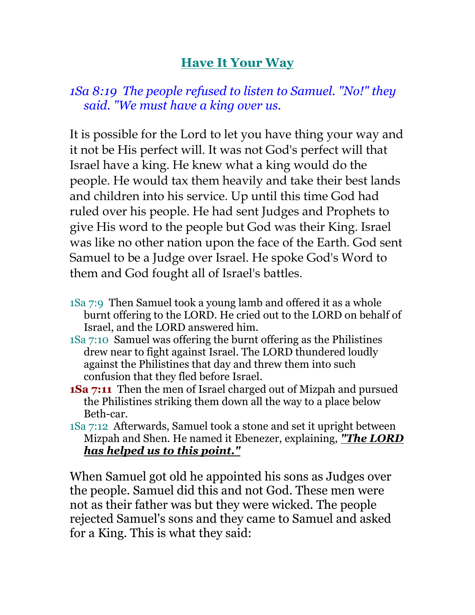## **Have It Your Way**

## *1Sa 8:19 The people refused to listen to Samuel. "No!" they said. "We must have a king over us.*

It is possible for the Lord to let you have thing your way and it not be His perfect will. It was not God's perfect will that Israel have a king. He knew what a king would do the people. He would tax them heavily and take their best lands and children into his service. Up until this time God had ruled over his people. He had sent Judges and Prophets to give His word to the people but God was their King. Israel was like no other nation upon the face of the Earth. God sent Samuel to be a Judge over Israel. He spoke God's Word to them and God fought all of Israel's battles.

- 1Sa 7:9 Then Samuel took a young lamb and offered it as a whole burnt offering to the LORD. He cried out to the LORD on behalf of Israel, and the LORD answered him.
- 1Sa 7:10 Samuel was offering the burnt offering as the Philistines drew near to fight against Israel. The LORD thundered loudly against the Philistines that day and threw them into such confusion that they fled before Israel.
- **1Sa 7:11** Then the men of Israel charged out of Mizpah and pursued the Philistines striking them down all the way to a place below Beth-car.
- 1Sa 7:12 Afterwards, Samuel took a stone and set it upright between Mizpah and Shen. He named it Ebenezer, explaining, *"The LORD has helped us to this point."*

When Samuel got old he appointed his sons as Judges over the people. Samuel did this and not God. These men were not as their father was but they were wicked. The people rejected Samuel's sons and they came to Samuel and asked for a King. This is what they said: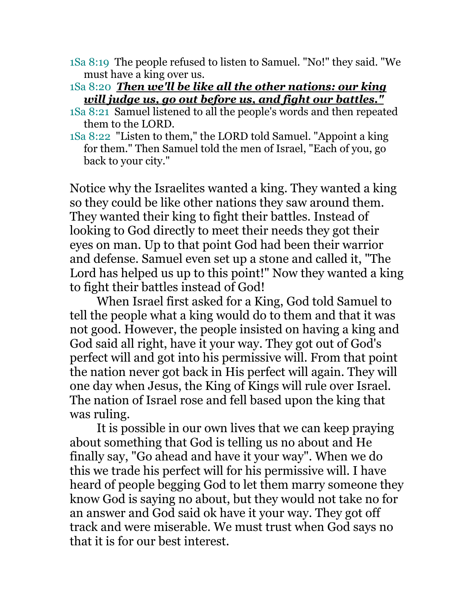- 1Sa 8:19 The people refused to listen to Samuel. "No!" they said. "We must have a king over us.
- 1Sa 8:20 *Then we'll be like all the other nations: our king will judge us, go out before us, and fight our battles."*
- 1Sa 8:21 Samuel listened to all the people's words and then repeated them to the LORD.
- 1Sa 8:22 "Listen to them," the LORD told Samuel. "Appoint a king for them." Then Samuel told the men of Israel, "Each of you, go back to your city."

Notice why the Israelites wanted a king. They wanted a king so they could be like other nations they saw around them. They wanted their king to fight their battles. Instead of looking to God directly to meet their needs they got their eyes on man. Up to that point God had been their warrior and defense. Samuel even set up a stone and called it, "The Lord has helped us up to this point!" Now they wanted a king to fight their battles instead of God!

 When Israel first asked for a King, God told Samuel to tell the people what a king would do to them and that it was not good. However, the people insisted on having a king and God said all right, have it your way. They got out of God's perfect will and got into his permissive will. From that point the nation never got back in His perfect will again. They will one day when Jesus, the King of Kings will rule over Israel. The nation of Israel rose and fell based upon the king that was ruling.

 It is possible in our own lives that we can keep praying about something that God is telling us no about and He finally say, "Go ahead and have it your way". When we do this we trade his perfect will for his permissive will. I have heard of people begging God to let them marry someone they know God is saying no about, but they would not take no for an answer and God said ok have it your way. They got off track and were miserable. We must trust when God says no that it is for our best interest.